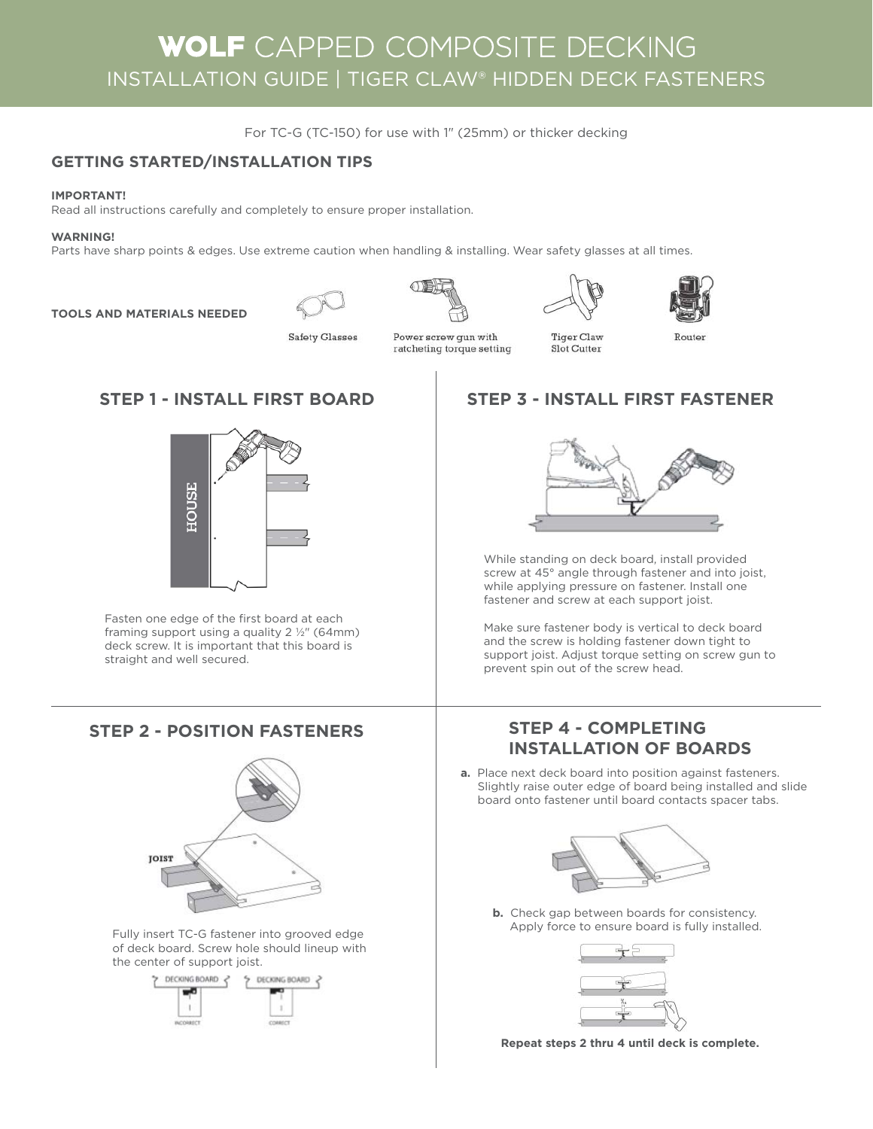# WOLF CAPPED COMPOSITE DECKING INSTALLATION GUIDE | TIGER CLAW® HIDDEN DECK FASTENERS

For TC-G (TC-150) for use with 1" (25mm) or thicker decking

# **GETTING STARTED/INSTALLATION TIPS**

# **IMPORTANT!**

Read all instructions carefully and completely to ensure proper installation.

# **WARNING!**

Parts have sharp points & edges. Use extreme caution when handling & installing. Wear safety glasses at all times.

**TOOLS AND MATERIALS NEEDED**









**Safety Glasses** 

Power screw gun with ratcheting torque setting

**Tiger Claw** Slot Cutter



Router



Fasten one edge of the first board at each framing support using a quality  $2 \frac{1}{2}$  (64mm) deck screw. It is important that this board is straight and well secured.

# **STEP 2 - POSITION FASTENERS STEP 4 - COMPLETING**



Fully insert TC-G fastener into grooved edge of deck board. Screw hole should lineup with the center of support joist.



# **STEP 1 - INSTALL FIRST BOARD STEP 3 - INSTALL FIRST FASTENER**



While standing on deck board, install provided screw at 45° angle through fastener and into joist, while applying pressure on fastener. Install one fastener and screw at each support joist.

Make sure fastener body is vertical to deck board and the screw is holding fastener down tight to support joist. Adjust torque setting on screw gun to prevent spin out of the screw head.

# **INSTALLATION OF BOARDS**

**a.** Place next deck board into position against fasteners. Slightly raise outer edge of board being installed and slide board onto fastener until board contacts spacer tabs.



**b.** Check gap between boards for consistency. Apply force to ensure board is fully installed.



**Repeat steps 2 thru 4 until deck is complete.**